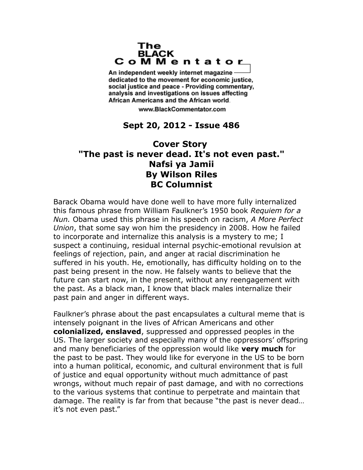## The **BLACK** CoMMentator

An independent weekly internet magazine dedicated to the movement for economic justice. social justice and peace - Providing commentary, analysis and investigations on issues affecting African Americans and the African world.

www.BlackCommentator.com

## **Sept 20, 2012 - Issue 486**

## **Cover Story "The past is never dead. It's not even past." Nafsi ya Jamii By Wilson Riles BC Columnist**

Barack Obama would have done well to have more fully internalized this famous phrase from William Faulkner's 1950 book *Requiem for a Nun.* Obama used this phrase in his speech on racism, *A More Perfect Union*, that some say won him the presidency in 2008. How he failed to incorporate and internalize this analysis is a mystery to me; I suspect a continuing, residual internal psychic-emotional revulsion at feelings of rejection, pain, and anger at racial discrimination he suffered in his youth. He, emotionally, has difficulty holding on to the past being present in the now. He falsely wants to believe that the future can start now, in the present, without any reengagement with the past. As a black man, I know that black males internalize their past pain and anger in different ways.

Faulkner's phrase about the past encapsulates a cultural meme that is intensely poignant in the lives of African Americans and other **colonialized, enslaved**, suppressed and oppressed peoples in the US. The larger society and especially many of the oppressors' offspring and many beneficiaries of the oppression would like **very much** for the past to be past. They would like for everyone in the US to be born into a human political, economic, and cultural environment that is full of justice and equal opportunity without much admittance of past wrongs, without much repair of past damage, and with no corrections to the various systems that continue to perpetrate and maintain that damage. The reality is far from that because "the past is never dead… it's not even past."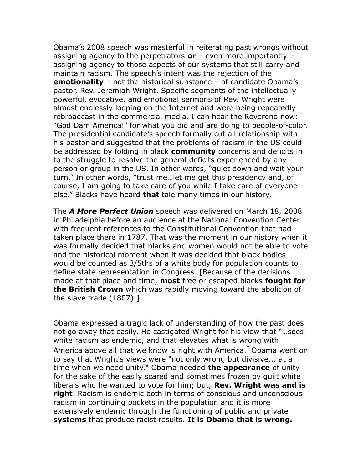Obama's 2008 speech was masterful in reiterating past wrongs without assigning agency to the perpetrators **or** – even more importantly – assigning agency to those aspects of our systems that still carry and maintain racism. The speech's intent was the rejection of the **emotionality** – not the historical substance – of candidate Obama's pastor, Rev. Jeremiah Wright. Specific segments of the intellectually powerful, evocative, and emotional sermons of Rev. Wright were almost endlessly looping on the Internet and were being repeatedly rebroadcast in the commercial media. I can hear the Reverend now: "God Dam America!" for what you did and are doing to people-of-color. The presidential candidate's speech formally cut all relationship with his pastor and suggested that the problems of racism in the US could be addressed by folding in black **community** concerns and deficits in to the struggle to resolve the general deficits experienced by any person or group in the US. In other words, "quiet down and wait your turn." In other words, "trust me…let me get this presidency and, of course, I am going to take care of you while I take care of everyone else." Blacks have heard **that** tale many times in our history.

The *A More Perfect Union* speech was delivered on March 18, 2008 in Philadelphia before an audience at the National Convention Center with frequent references to the Constitutional Convention that had taken place there in 1787. That was the moment in our history when it was formally decided that blacks and women would not be able to vote and the historical moment when it was decided that black bodies would be counted as 3/5ths of a white body for population counts to define state representation in Congress. [Because of the decisions made at that place and time, **most** free or escaped blacks **fought for the British Crown** which was rapidly moving toward the abolition of the slave trade (1807).]

Obama expressed a tragic lack of understanding of how the past does not go away that easily. He castigated Wright for his view that "…sees white racism as endemic, and that elevates what is wrong with America above all that we know is right with America." Obama went on to say that Wright's views were "not only wrong but divisive... at a time when we need unity." Obama needed **the appearance** of unity for the sake of the easily scared and sometimes frozen by guilt white liberals who he wanted to vote for him; but, **Rev. Wright was and is right**. Racism is endemic both in terms of conscious and unconscious racism in continuing pockets in the population and it is more extensively endemic through the functioning of public and private **systems** that produce racist results. **It is Obama that is wrong.**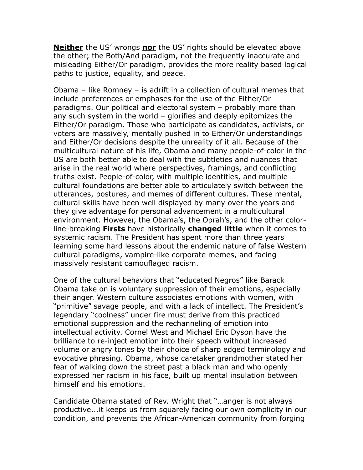**Neither** the US' wrongs **nor** the US' rights should be elevated above the other; the Both/And paradigm, not the frequently inaccurate and misleading Either/Or paradigm, provides the more reality based logical paths to justice, equality, and peace.

Obama – like Romney – is adrift in a collection of cultural memes that include preferences or emphases for the use of the Either/Or paradigms. Our political and electoral system – probably more than any such system in the world – glorifies and deeply epitomizes the Either/Or paradigm. Those who participate as candidates, activists, or voters are massively, mentally pushed in to Either/Or understandings and Either/Or decisions despite the unreality of it all. Because of the multicultural nature of his life, Obama and many people-of-color in the US are both better able to deal with the subtleties and nuances that arise in the real world where perspectives, framings, and conflicting truths exist. People-of-color, with multiple identities, and multiple cultural foundations are better able to articulately switch between the utterances, postures, and memes of different cultures. These mental, cultural skills have been well displayed by many over the years and they give advantage for personal advancement in a multicultural environment. However, the Obama's, the Oprah's, and the other colorline-breaking **Firsts** have historically **changed little** when it comes to systemic racism. The President has spent more than three years learning some hard lessons about the endemic nature of false Western cultural paradigms, vampire-like corporate memes, and facing massively resistant camouflaged racism.

One of the cultural behaviors that "educated Negros" like Barack Obama take on is voluntary suppression of their emotions, especially their anger. Western culture associates emotions with women, with "primitive" savage people, and with a lack of intellect. The President's legendary "coolness" under fire must derive from this practiced emotional suppression and the rechanneling of emotion into intellectual activity. Cornel West and Michael Eric Dyson have the brilliance to re-inject emotion into their speech without increased volume or angry tones by their choice of sharp edged terminology and evocative phrasing. Obama, whose caretaker grandmother stated her fear of walking down the street past a black man and who openly expressed her racism in his face, built up mental insulation between himself and his emotions.

Candidate Obama stated of Rev. Wright that "…anger is not always productive...it keeps us from squarely facing our own complicity in our condition, and prevents the African-American community from forging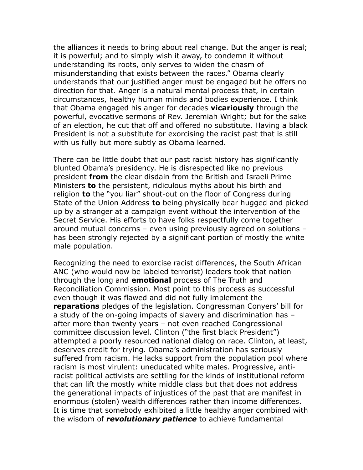the alliances it needs to bring about real change. But the anger is real; it is powerful; and to simply wish it away, to condemn it without understanding its roots, only serves to widen the chasm of misunderstanding that exists between the races." Obama clearly understands that our justified anger must be engaged but he offers no direction for that. Anger is a natural mental process that, in certain circumstances, healthy human minds and bodies experience. I think that Obama engaged his anger for decades **vicariously** through the powerful, evocative sermons of Rev. Jeremiah Wright; but for the sake of an election, he cut that off and offered no substitute. Having a black President is not a substitute for exorcising the racist past that is still with us fully but more subtly as Obama learned.

There can be little doubt that our past racist history has significantly blunted Obama's presidency. He is disrespected like no previous president **from** the clear disdain from the British and Israeli Prime Ministers **to** the persistent, ridiculous myths about his birth and religion **to** the "you liar" shout-out on the floor of Congress during State of the Union Address **to** being physically bear hugged and picked up by a stranger at a campaign event without the intervention of the Secret Service. His efforts to have folks respectfully come together around mutual concerns – even using previously agreed on solutions – has been strongly rejected by a significant portion of mostly the white male population.

Recognizing the need to exorcise racist differences, the South African ANC (who would now be labeled terrorist) leaders took that nation through the long and **emotional** process of The Truth and Reconciliation Commission. Most point to this process as successful even though it was flawed and did not fully implement the **reparations** pledges of the legislation. Congressman Conyers' bill for a study of the on-going impacts of slavery and discrimination has – after more than twenty years – not even reached Congressional committee discussion level. Clinton ("the first black President") attempted a poorly resourced national dialog on race. Clinton, at least, deserves credit for trying. Obama's administration has seriously suffered from racism. He lacks support from the population pool where racism is most virulent: uneducated white males. Progressive, antiracist political activists are settling for the kinds of institutional reform that can lift the mostly white middle class but that does not address the generational impacts of injustices of the past that are manifest in enormous (stolen) wealth differences rather than income differences. It is time that somebody exhibited a little healthy anger combined with the wisdom of *revolutionary patience* to achieve fundamental